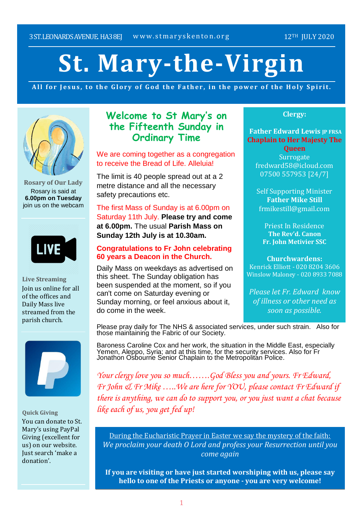# **St. Mary-the-Virgin**

All for Jesus, to the Glory of God the Father, in the power of the Holy Spirit.



**Rosary of Our Lady** Rosary is said at **6.00pm on Tuesday** join us on the webcam



**Live Streaming** Join us online for all of the offices and Daily Mass live streamed from the parish church.



**Quick Giving**

You can donate to St. Mary's using PayPal Giving (excellent for us) on our website. Just search 'make a donation'.

# **Welcome to St Mary's on the Fifteenth Sunday in Ordinary Time**

We are coming together as a congregation to receive the Bread of Life. Alleluia!

The limit is 40 people spread out at a 2 metre distance and all the necessary safety precautions etc.

The first Mass of Sunday is at 6.00pm on Saturday 11th July. **Please try and come at 6.00pm.** The usual **Parish Mass on Sunday 12th July is at 10.30am.**

## **Congratulations to Fr John celebrating 60 years a Deacon in the Church.**

Daily Mass on weekdays as advertised on this sheet. The Sunday obligation has been suspended at the moment, so if you can't come on Saturday evening or Sunday morning, or feel anxious about it, do come in the week.

## **Clergy:**

**Father Edward Lewis IP FRSA Chaplain to Her Majesty The**

**Queen Surrogate** fredward58@icloud.com 07500 557953 [24/7]

Self Supporting Minister **Father Mike Still** frmikestill@gmail.com

Priest In Residence **The Rev'd. Canon Fr. John Metivier SSC**

**Churchwardens:** Kenrick Elliott - 020 8204 3606

Winslow Maloney - 020 8933 7088

*Please let Fr. Edward know of illness or other need as soon as possible.*

Please pray daily for The NHS & associated services, under such strain. Also for those maintaining the Fabric of our Society.

Baroness Caroline Cox and her work, the situation in the Middle East, especially Yemen, Aleppo, Syria; and at this time, for the security services. Also for Fr Jonathon Osbourne Senior Chaplain to the Metropolitan Police.

*Your clergy love you so much…….God Bless you and yours. Fr Edward, Fr John & Fr Mike …..We are here for YOU, please contact Fr Edward if there is anything, we can do to support you, or you just want a chat because like each of us, you get fed up!*

During the Eucharistic Prayer in Easter we say the mystery of the faith: *We proclaim your death O Lord and profess your Resurrection until you come again*

**If you are visiting or have just started worshiping with us, please say hello to one of the Priests or anyone - you are very welcome!**